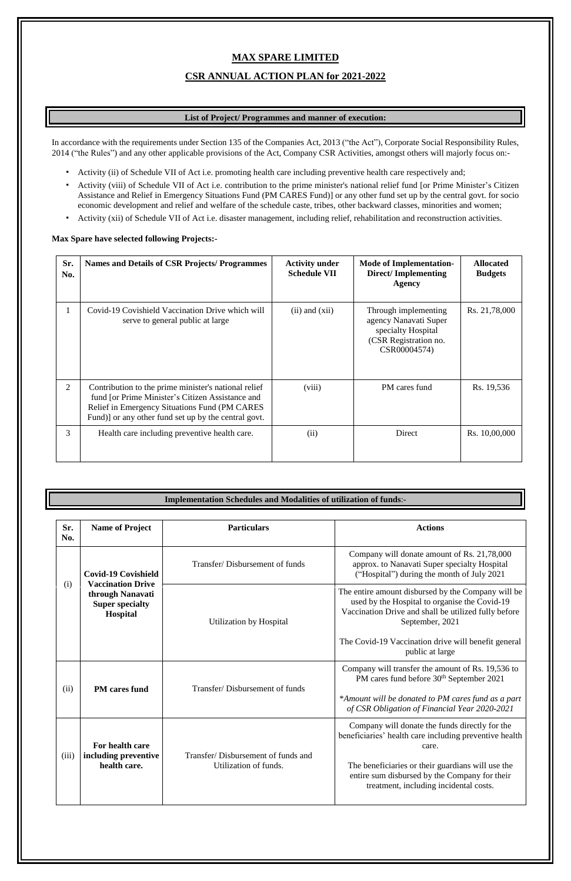# **MAX SPARE LIMITED**

## **CSR ANNUAL ACTION PLAN for 2021-2022**

## **List of Project/ Programmes and manner of execution:**

In accordance with the requirements under Section 135 of the Companies Act, 2013 ("the Act"), Corporate Social Responsibility Rules, 2014 ("the Rules") and any other applicable provisions of the Act, Company CSR Activities, amongst others will majorly focus on:-

- Activity (ii) of Schedule VII of Act i.e. promoting health care including preventive health care respectively and;
- Activity (viii) of Schedule VII of Act i.e. contribution to the prime minister's national relief fund [or Prime Minister's Citizen Assistance and Relief in Emergency Situations Fund (PM CARES Fund)] or any other fund set up by the central govt. for socio economic development and relief and welfare of the schedule caste, tribes, other backward classes, minorities and women;
- Activity (xii) of Schedule VII of Act i.e. disaster management, including relief, rehabilitation and reconstruction activities.

#### **Max Spare have selected following Projects:-**

| Sr.<br>No.     | <b>Names and Details of CSR Projects/ Programmes</b>                                                                                                                                                              | <b>Activity under</b><br><b>Schedule VII</b> | <b>Mode of Implementation-</b><br><b>Direct/Implementing</b><br><b>Agency</b>                                | <b>Allocated</b><br><b>Budgets</b> |
|----------------|-------------------------------------------------------------------------------------------------------------------------------------------------------------------------------------------------------------------|----------------------------------------------|--------------------------------------------------------------------------------------------------------------|------------------------------------|
| $\mathbf{1}$   | Covid-19 Covishield Vaccination Drive which will<br>serve to general public at large                                                                                                                              | $(ii)$ and $(xii)$                           | Through implementing<br>agency Nanavati Super<br>specialty Hospital<br>(CSR Registration no.<br>CSR00004574) | Rs. 21,78,000                      |
| $\overline{2}$ | Contribution to the prime minister's national relief<br>fund [or Prime Minister's Citizen Assistance and<br>Relief in Emergency Situations Fund (PM CARES<br>Fund)] or any other fund set up by the central govt. | (viii)                                       | PM cares fund                                                                                                | Rs. 19,536                         |
| 3              | Health care including preventive health care.                                                                                                                                                                     | (ii)                                         | Direct                                                                                                       | Rs. 10,00,000                      |

## **Implementation Schedules and Modalities of utilization of funds**:**-**

| Sr.<br>No. | <b>Name of Project</b>                                                                                           | <b>Particulars</b>             | <b>Actions</b>                                                                                                                                                                 |
|------------|------------------------------------------------------------------------------------------------------------------|--------------------------------|--------------------------------------------------------------------------------------------------------------------------------------------------------------------------------|
| (i)        | <b>Covid-19 Covishield</b><br><b>Vaccination Drive</b><br>through Nanavati<br><b>Super specialty</b><br>Hospital | Transfer/Disbursement of funds | Company will donate amount of Rs. 21,78,000<br>approx. to Nanavati Super specialty Hospital<br>("Hospital") during the month of July 2021                                      |
|            |                                                                                                                  | Utilization by Hospital        | The entire amount disbursed by the Company will be<br>used by the Hospital to organise the Covid-19<br>Vaccination Drive and shall be utilized fully before<br>September, 2021 |
|            |                                                                                                                  |                                | The Covid-19 Vaccination drive will benefit general                                                                                                                            |

|       |                                                         |                                                             | public at large                                                                                                                                                                                                                                                   |
|-------|---------------------------------------------------------|-------------------------------------------------------------|-------------------------------------------------------------------------------------------------------------------------------------------------------------------------------------------------------------------------------------------------------------------|
| (ii)  | <b>PM</b> cares fund                                    | Transfer/Disbursement of funds                              | Company will transfer the amount of Rs. 19,536 to<br>PM cares fund before 30 <sup>th</sup> September 2021                                                                                                                                                         |
|       |                                                         |                                                             | *Amount will be donated to PM cares fund as a part<br>of CSR Obligation of Financial Year 2020-2021                                                                                                                                                               |
| (iii) | For health care<br>including preventive<br>health care. | Transfer/Disbursement of funds and<br>Utilization of funds. | Company will donate the funds directly for the<br>beneficiaries' health care including preventive health<br>care.<br>The beneficiaries or their guardians will use the<br>entire sum disbursed by the Company for their<br>treatment, including incidental costs. |